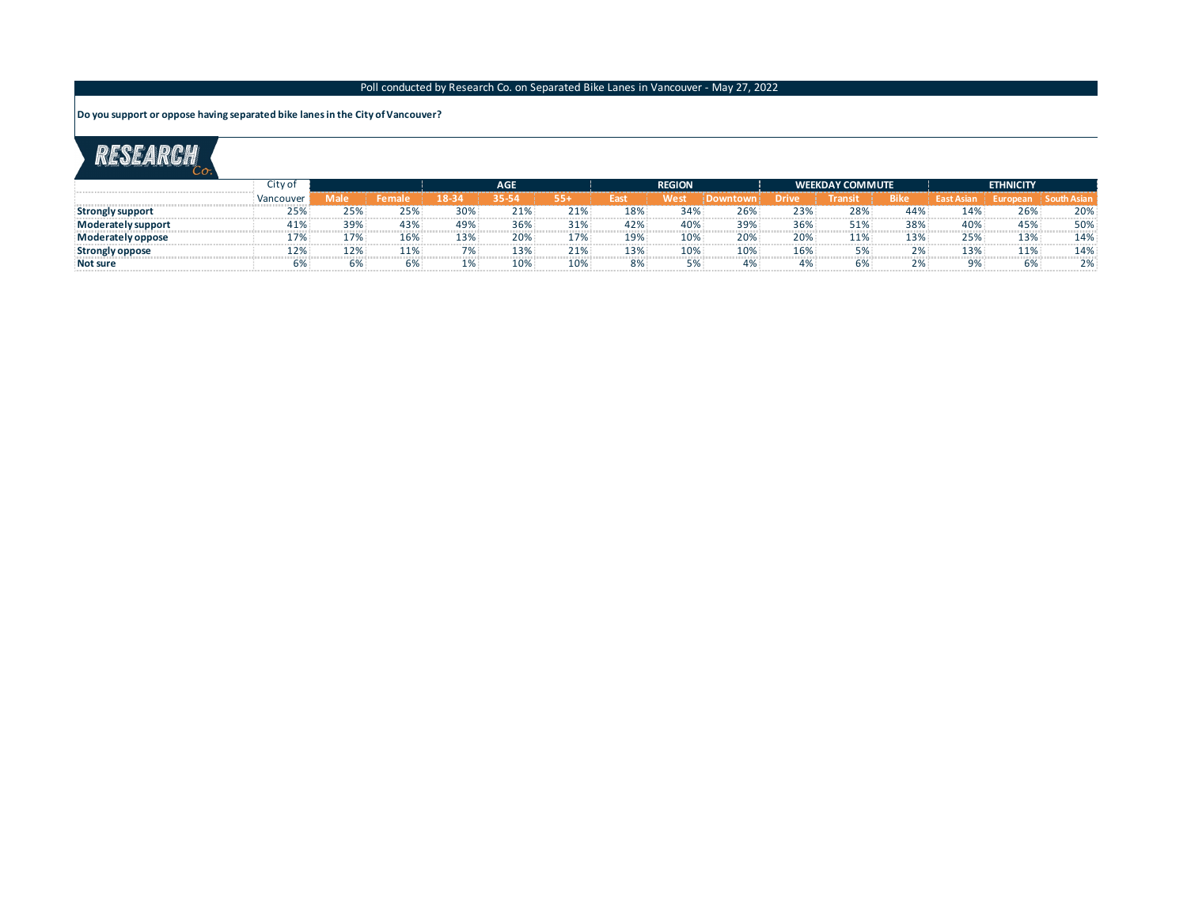### Poll conducted by Research Co. on Separated Bike Lanes in Vancouver - May 27, 2022

**Do you support or oppose having separated bike lanes in the City of Vancouver?**

# RESEARCH

|                        | City of     |      |     | AGE.   |      |     | <b>REGION</b> |     |     |       | <b>WEEKDAY COMMUTE</b> |      | <b>ETHNICITY</b>  |          |     |
|------------------------|-------------|------|-----|--------|------|-----|---------------|-----|-----|-------|------------------------|------|-------------------|----------|-----|
|                        | . Vancouver | Male |     | 18-34. | 35-5 | 554 | East          | Wes |     | Drive | Transit                | Bike | <b>Fast Asiar</b> | Europear |     |
| Strongly support       | 25%         | 25%  | 25% | 30%    | 21%  | 21% | 18%           | 34% | 26% | 23%   | 28%                    | 44%  | 14%               | 26%      | 20% |
| Moderately support     | 41%         | 39%  | 43% | 49%    | 36%  | 31% | 42%           | 40% | 39% | 36%   | 51%                    | 38%  | 40%               | 45%      | 50% |
| Moderately oppose      | 7%          | .7%  | 16% | 13%    | 20%  | 17% | 19%           | 10% | 20% | 20%   | 11%                    | 13%  | 25%               | 13%      | 14% |
| <b>Strongly oppose</b> | 12%         | 12%  | 11% | 70/    | 13%  | 21% | 13%           | 10% | 10% | 16%   | 5%                     |      | 13%               | 11%      | 14% |
| Not sure               | 6%          | 6%   | 6%  |        | 10%  | 10% | 8%            | 5%  | 4%  | 4%    | 5%                     |      | 9%                | 6%       | 2%  |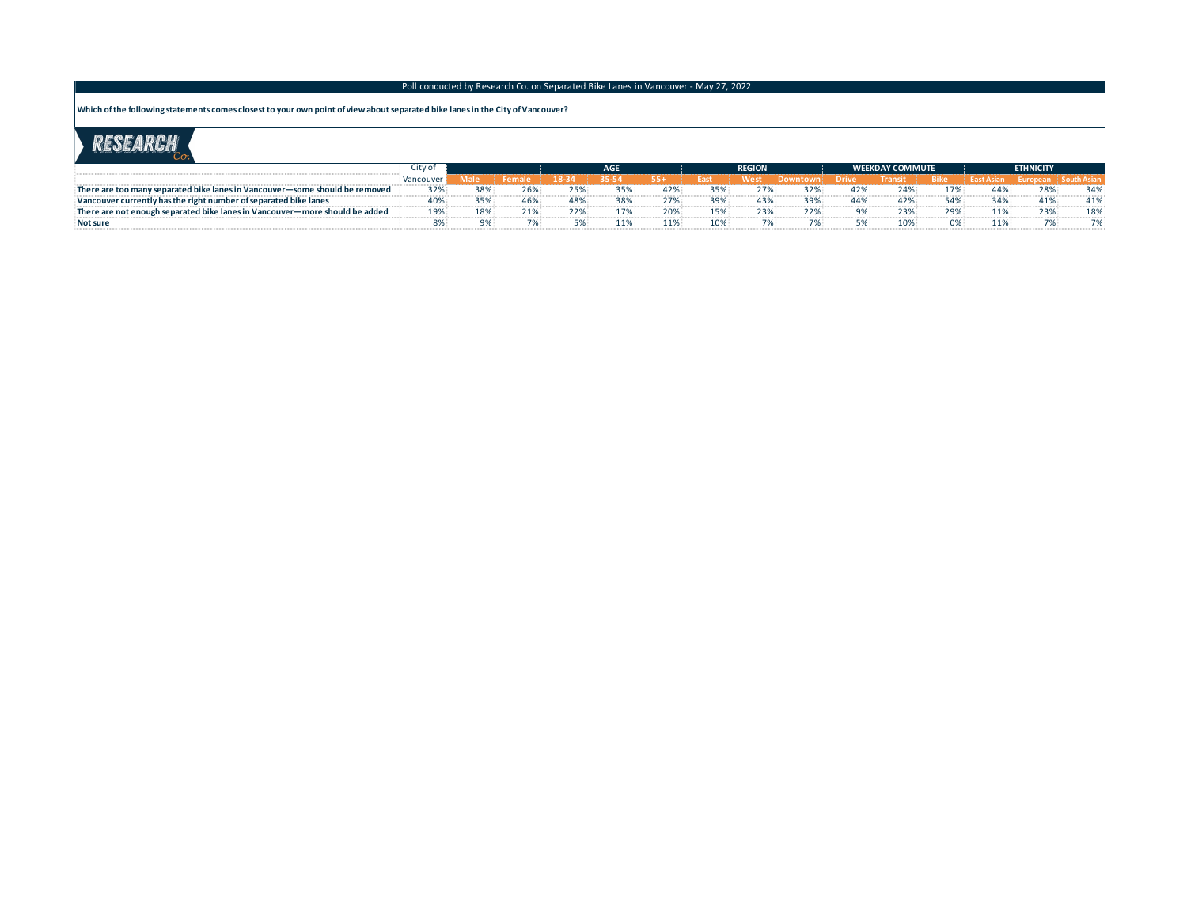#### Poll conducted by Research Co. on Separated Bike Lanes in Vancouver - May 27, 2022

**Which of the following statements comes closest to your own point of view about separated bike lanes in the City of Vancouver?**

### RESEARCH

| Citv o                                                                                               |                     |     |  |     |     | AGE |     | <b>REGION</b> |     |      | <b>WEEKDAY COMMUTE</b> |       |      | <b>ETHNICITY</b> |     |  |
|------------------------------------------------------------------------------------------------------|---------------------|-----|--|-----|-----|-----|-----|---------------|-----|------|------------------------|-------|------|------------------|-----|--|
|                                                                                                      | Mancou <sub>s</sub> |     |  |     |     | 554 |     | Nest          |     | Driv |                        | -Rike |      |                  |     |  |
| There are too many separated bike lanes in Vancouver-some should be removed                          | 32%                 | 38% |  | 25% | 35% | 42% | 35% | ን7%∶          | 32% | 42%  | 24%                    | 7%    | 44%  | 28%              | 34% |  |
| Vancouver currently has the right number of separated bike lanes                                     | 40%                 |     |  | 48% |     |     | 39% | 43%           | 39% | 44%  | 42%                    |       | 34%  | 41%              |     |  |
| $\overline{\phantom{a}}$ There are not enough separated bike lanes in Vancouver—more should be added | 19%                 |     |  | 22% |     | ንበ% | 15% | 3%            | 22% |      | 23%                    | 29%   | .102 | 23%              | 18% |  |
| <b>Not sure</b>                                                                                      |                     |     |  |     | 1%  | 11% | 10% | 7%            |     |      | 10%                    |       | 10/2 |                  |     |  |